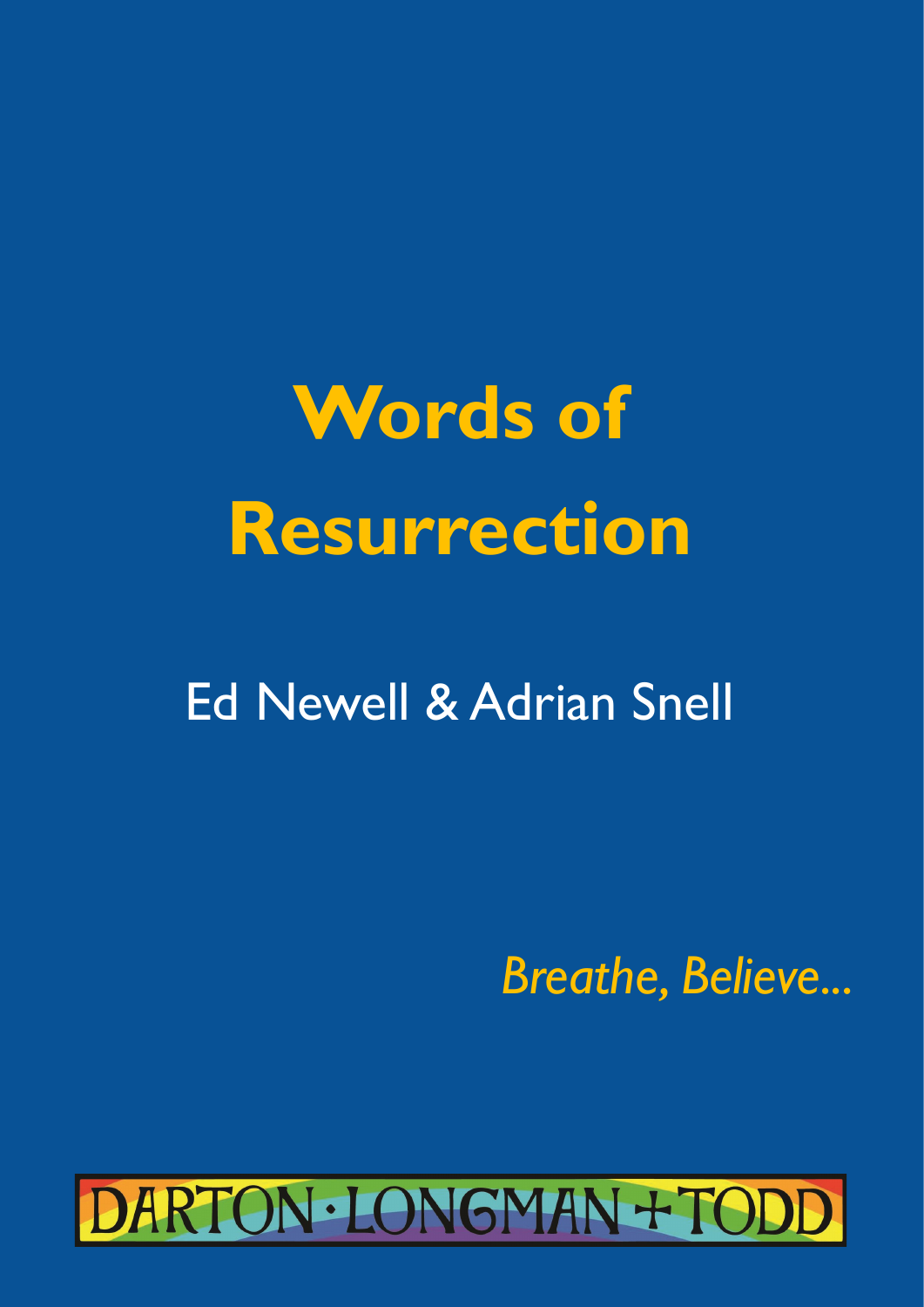**Words of Resurrection**

## Ed Newell & Adrian Snell

 *Breathe, Believe...*

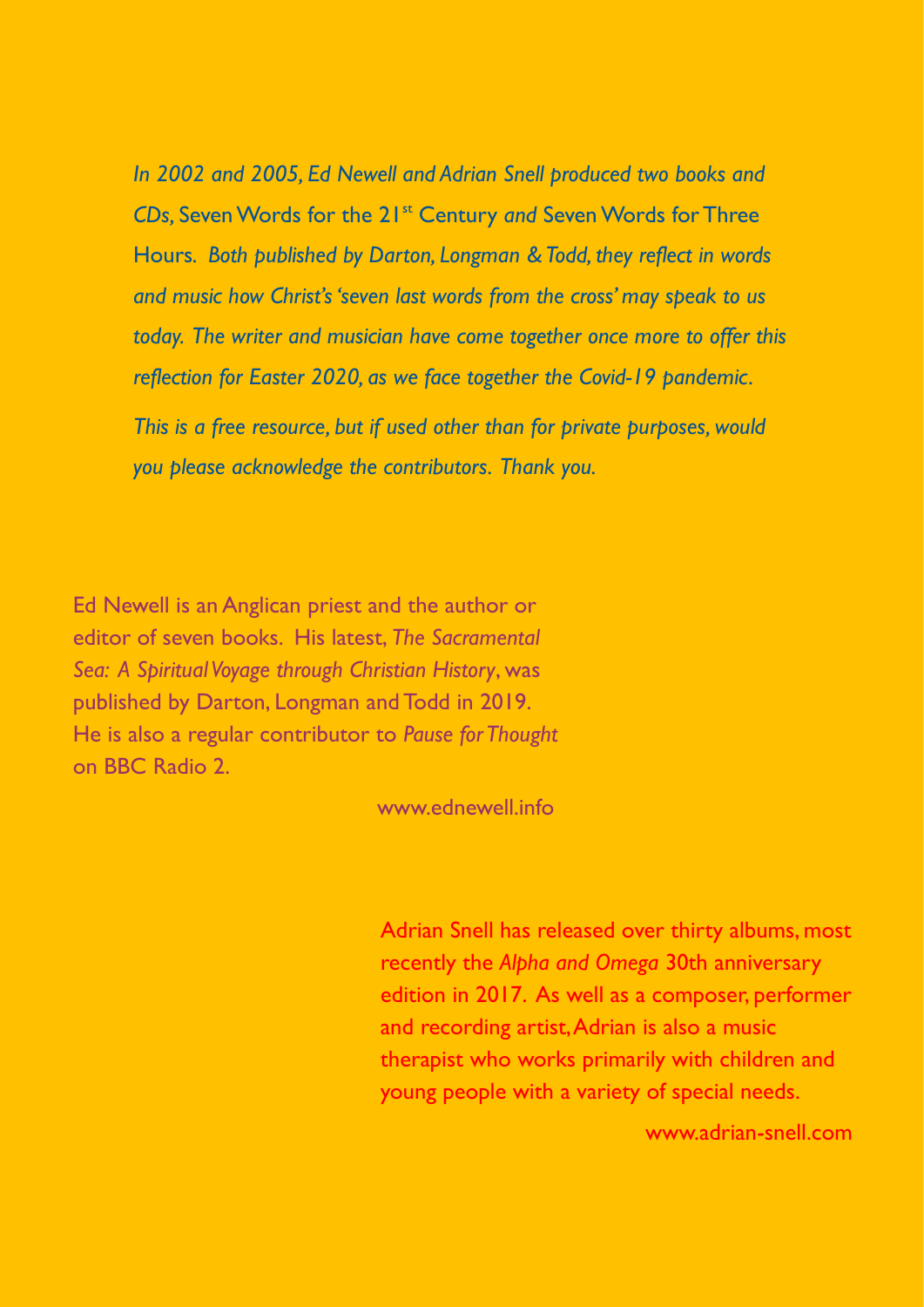*In 2002 and 2005, Ed Newell and Adrian Snell produced two books and CDs,* Seven Words for the and music how Christ's 'seven last words from the cross' may speak to us **and music how Christ's 'seven last words** from the cross' may speak to us *reflecting in words and music on how Christ 'seven last words from the cross' speak to us today. They have come together once more to offer this reflection for Easter 2020 in the light of the Covid-19 today. The writer and musician have come together once more to offer this In 2002 and 2005, Ed Newell and Adrian Snell produced two books and CDs,* Seven Words for the 21st Century *and* Seven Words for Three Hours*. Both published by Darton, Longman & Todd, they reflect in words reflection for Easter 2020, as we face together the Covid-19 pandemic. This is a free resource, but if used other than for private purposes, would you please acknowledge the contributors. Thank you.*

Ed Newell is an Anglican priest and the author or editor of seven books. His latest, *The Sacramental Sea: A Spiritual Voyage through Christian History*, was published by Darton, Longman and Todd in 2019. He is also a regular contributor to *Pause for Thought*  on BBC Radio 2.

www.ednewell.info

Adrian Snell has released over thirty albums, most recently the *Alpha and Omega* 30th anniversary edition in 2017. As well as a composer, performer and recording artist, Adrian is also a music therapist who works primarily with children and young people with a variety of special needs.

www.adrian-snell.com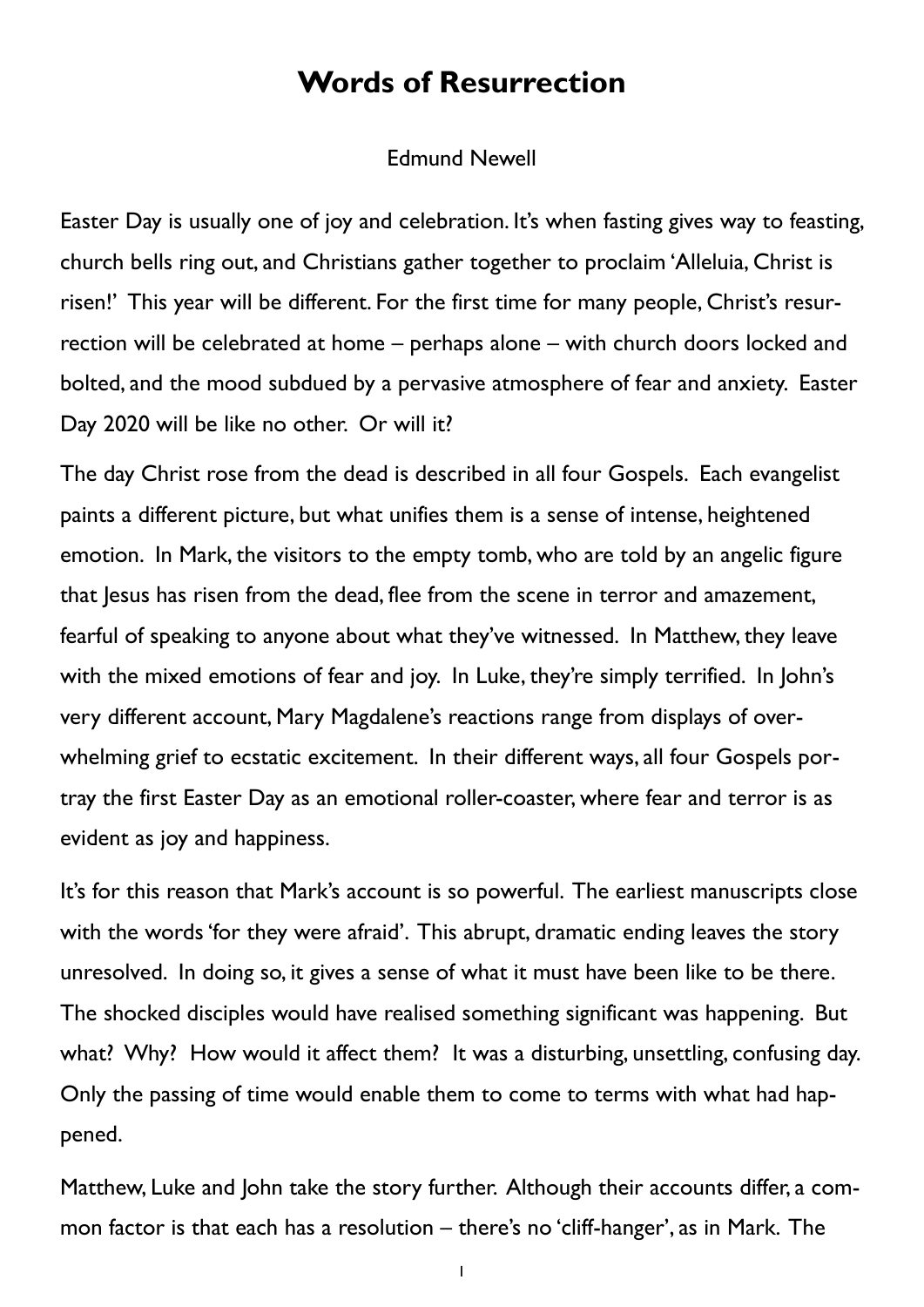## **Words of Resurrection**

## Edmund Newell

Easter Day is usually one of joy and celebration. It's when fasting gives way to feasting, church bells ring out, and Christians gather together to proclaim 'Alleluia, Christ is risen!' This year will be different. For the first time for many people, Christ's resurrection will be celebrated at home – perhaps alone – with church doors locked and bolted, and the mood subdued by a pervasive atmosphere of fear and anxiety. Easter Day 2020 will be like no other. Or will it?

The day Christ rose from the dead is described in all four Gospels. Each evangelist paints a different picture, but what unifies them is a sense of intense, heightened emotion. In Mark, the visitors to the empty tomb, who are told by an angelic figure that Jesus has risen from the dead, flee from the scene in terror and amazement, fearful of speaking to anyone about what they've witnessed. In Matthew, they leave with the mixed emotions of fear and joy. In Luke, they're simply terrified. In John's very different account, Mary Magdalene's reactions range from displays of overwhelming grief to ecstatic excitement. In their different ways, all four Gospels portray the first Easter Day as an emotional roller-coaster, where fear and terror is as evident as joy and happiness.

It's for this reason that Mark's account is so powerful. The earliest manuscripts close with the words 'for they were afraid'. This abrupt, dramatic ending leaves the story unresolved. In doing so, it gives a sense of what it must have been like to be there. The shocked disciples would have realised something significant was happening. But what? Why? How would it affect them? It was a disturbing, unsettling, confusing day. Only the passing of time would enable them to come to terms with what had happened.

Matthew, Luke and John take the story further. Although their accounts differ, a common factor is that each has a resolution – there's no 'cliff-hanger', as in Mark. The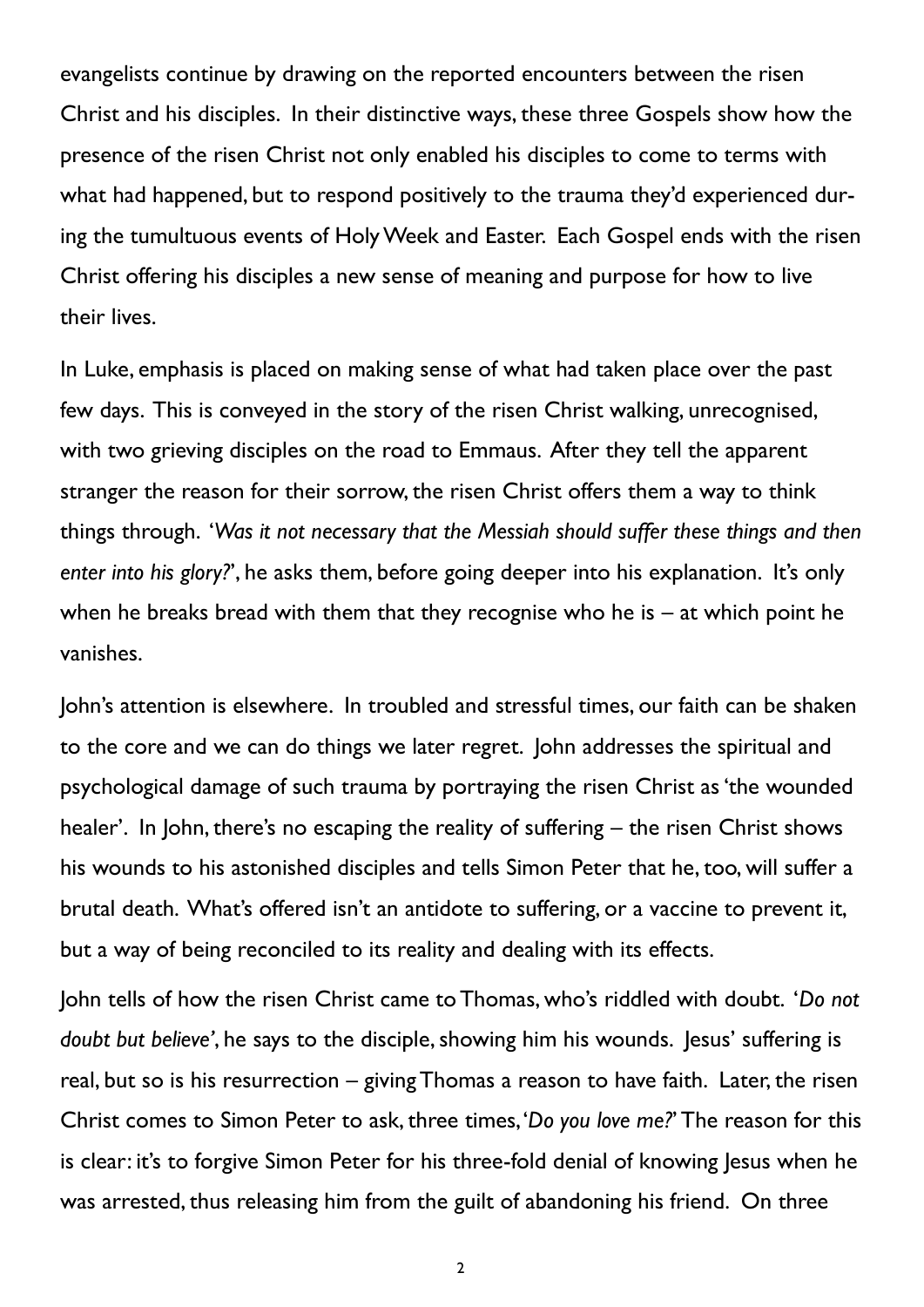evangelists continue by drawing on the reported encounters between the risen Christ and his disciples. In their distinctive ways, these three Gospels show how the presence of the risen Christ not only enabled his disciples to come to terms with what had happened, but to respond positively to the trauma they'd experienced during the tumultuous events of Holy Week and Easter. Each Gospel ends with the risen Christ offering his disciples a new sense of meaning and purpose for how to live their lives.

In Luke, emphasis is placed on making sense of what had taken place over the past few days. This is conveyed in the story of the risen Christ walking, unrecognised, with two grieving disciples on the road to Emmaus. After they tell the apparent stranger the reason for their sorrow, the risen Christ offers them a way to think things through. '*Was it not necessary that the Messiah should suffer these things and then enter into his glory?*', he asks them, before going deeper into his explanation. It's only when he breaks bread with them that they recognise who he is – at which point he vanishes.

John's attention is elsewhere. In troubled and stressful times, our faith can be shaken to the core and we can do things we later regret. John addresses the spiritual and psychological damage of such trauma by portraying the risen Christ as 'the wounded healer'. In John, there's no escaping the reality of suffering – the risen Christ shows his wounds to his astonished disciples and tells Simon Peter that he, too, will suffer a brutal death. What's offered isn't an antidote to suffering, or a vaccine to prevent it, but a way of being reconciled to its reality and dealing with its effects.

John tells of how the risen Christ came to Thomas, who's riddled with doubt. '*Do not doubt but believe'*, he says to the disciple, showing him his wounds. Jesus' suffering is real, but so is his resurrection – giving Thomas a reason to have faith. Later, the risen Christ comes to Simon Peter to ask, three times, '*Do you love me?*' The reason for this is clear: it's to forgive Simon Peter for his three-fold denial of knowing Jesus when he was arrested, thus releasing him from the guilt of abandoning his friend. On three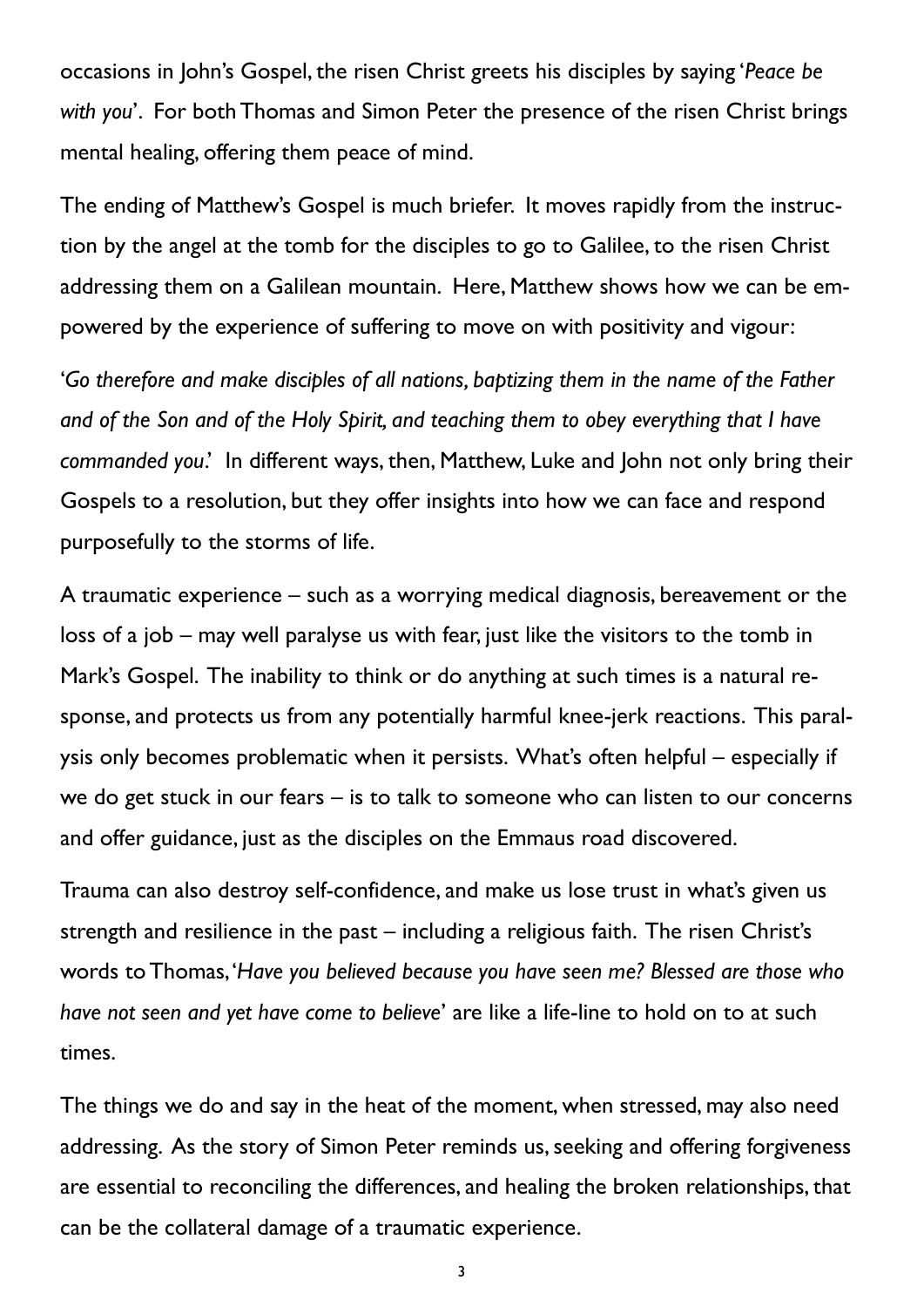occasions in John's Gospel, the risen Christ greets his disciples by saying '*Peace be with you*'. For both Thomas and Simon Peter the presence of the risen Christ brings mental healing, offering them peace of mind.

The ending of Matthew's Gospel is much briefer. It moves rapidly from the instruction by the angel at the tomb for the disciples to go to Galilee, to the risen Christ addressing them on a Galilean mountain. Here, Matthew shows how we can be empowered by the experience of suffering to move on with positivity and vigour:

'*Go therefore and make disciples of all nations, baptizing them in the name of the Father and of the Son and of the Holy Spirit, and teaching them to obey everything that I have commanded you*.' In different ways, then, Matthew, Luke and John not only bring their Gospels to a resolution, but they offer insights into how we can face and respond purposefully to the storms of life.

A traumatic experience – such as a worrying medical diagnosis, bereavement or the loss of a job – may well paralyse us with fear, just like the visitors to the tomb in Mark's Gospel. The inability to think or do anything at such times is a natural response, and protects us from any potentially harmful knee-jerk reactions. This paralysis only becomes problematic when it persists. What's often helpful – especially if we do get stuck in our fears – is to talk to someone who can listen to our concerns and offer guidance, just as the disciples on the Emmaus road discovered.

Trauma can also destroy self-confidence, and make us lose trust in what's given us strength and resilience in the past – including a religious faith. The risen Christ's words to Thomas, '*Have you believed because you have seen me? Blessed are those who have not seen and yet have come to believe*' are like a life-line to hold on to at such times.

The things we do and say in the heat of the moment, when stressed, may also need addressing. As the story of Simon Peter reminds us, seeking and offering forgiveness are essential to reconciling the differences, and healing the broken relationships, that can be the collateral damage of a traumatic experience.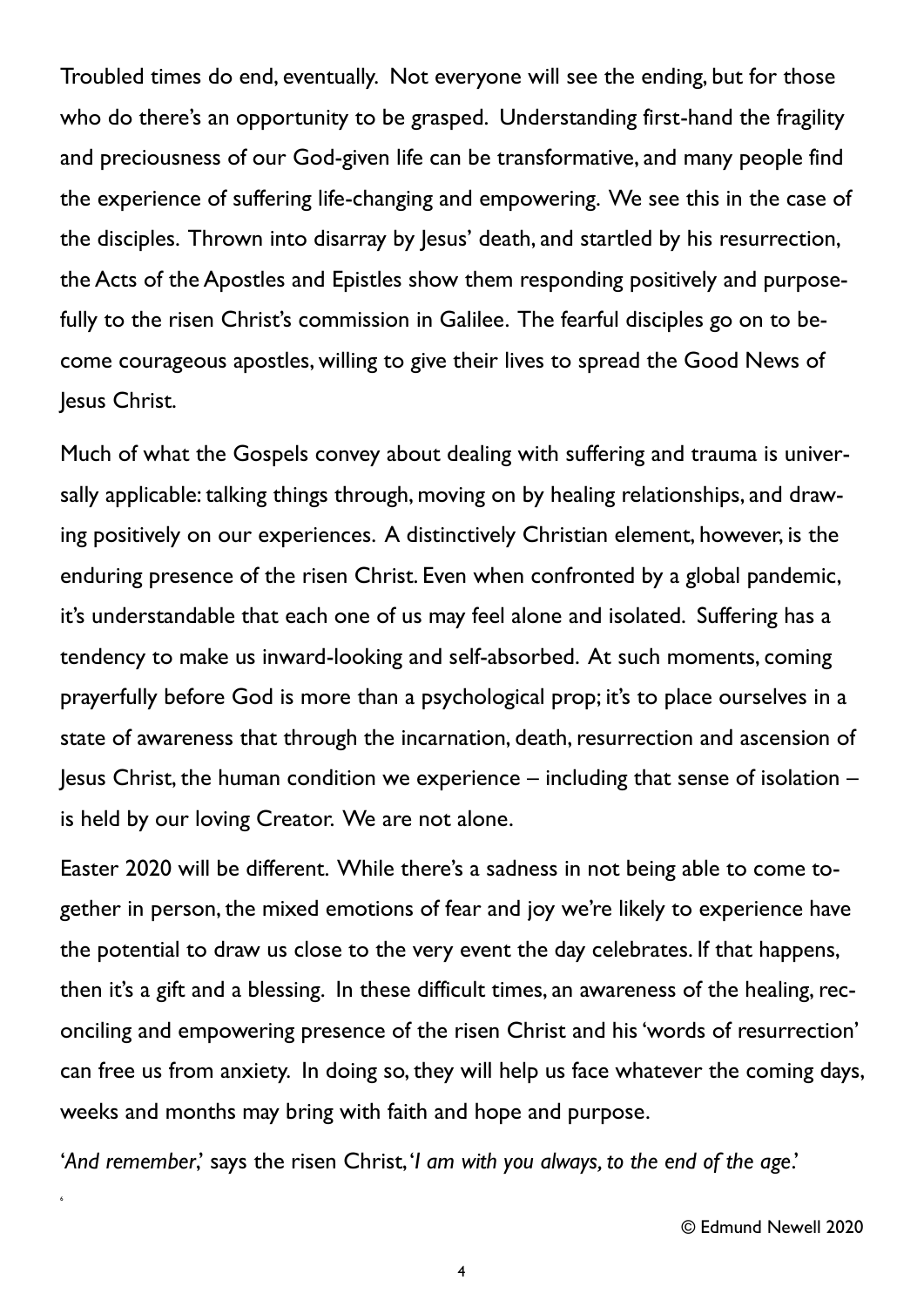Troubled times do end, eventually. Not everyone will see the ending, but for those who do there's an opportunity to be grasped. Understanding first-hand the fragility and preciousness of our God-given life can be transformative, and many people find the experience of suffering life-changing and empowering. We see this in the case of the disciples. Thrown into disarray by Jesus' death, and startled by his resurrection, the Acts of the Apostles and Epistles show them responding positively and purposefully to the risen Christ's commission in Galilee. The fearful disciples go on to become courageous apostles, willing to give their lives to spread the Good News of Jesus Christ.

Much of what the Gospels convey about dealing with suffering and trauma is universally applicable: talking things through, moving on by healing relationships, and drawing positively on our experiences. A distinctively Christian element, however, is the enduring presence of the risen Christ. Even when confronted by a global pandemic, it's understandable that each one of us may feel alone and isolated. Suffering has a tendency to make us inward-looking and self-absorbed. At such moments, coming prayerfully before God is more than a psychological prop; it's to place ourselves in a state of awareness that through the incarnation, death, resurrection and ascension of Jesus Christ, the human condition we experience – including that sense of isolation – is held by our loving Creator. We are not alone.

Easter 2020 will be different. While there's a sadness in not being able to come together in person, the mixed emotions of fear and joy we're likely to experience have the potential to draw us close to the very event the day celebrates. If that happens, then it's a gift and a blessing. In these difficult times, an awareness of the healing, reconciling and empowering presence of the risen Christ and his 'words of resurrection' can free us from anxiety. In doing so, they will help us face whatever the coming days, weeks and months may bring with faith and hope and purpose.

'*And remember*,' says the risen Christ, '*I am with you always, to the end of the age*.'